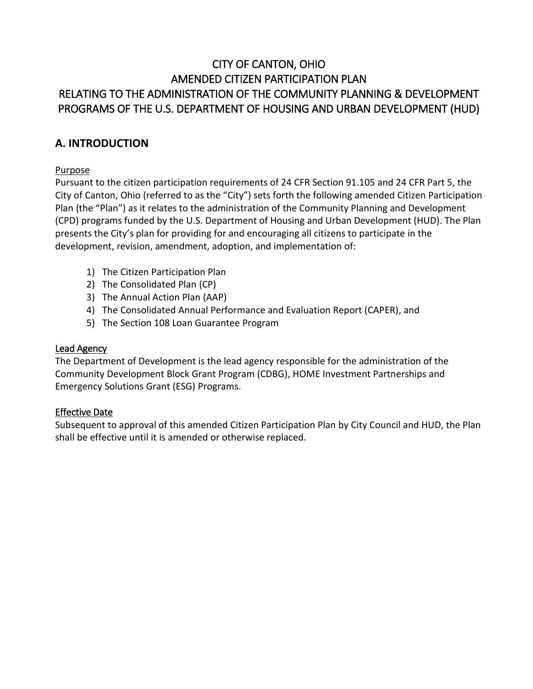# CITY OF CANTON, OHIO AMENDED CITIZEN PARTICIPATION PLAN RELATING TO THE ADMINISTRATION OF THE COMMUNITY PLANNING & DEVELOPMENT PROGRAMS OF THE U.S. DEPARTMENT OF HOUSING AND URBAN DEVELOPMENT (HUD)

# **A. INTRODUCTION**

## Purpose

Pursuant to the citizen participation requirements of 24 CFR Section 91.105 and 24 CFR Part 5, the City of Canton, Ohio (referred to as the "City") sets forth the following amended Citizen Participation Plan (the "Plan") as it relates to the administration of the Community Planning and Development (CPD) programs funded by the U.S. Department of Housing and Urban Development (HUD). The Plan presents the City's plan for providing for and encouraging all citizens to participate in the development, revision, amendment, adoption, and implementation of:

- 1) The Citizen Participation Plan
- 2) The Consolidated Plan (CP)
- 3) The Annual Action Plan (AAP)
- 4) The Consolidated Annual Performance and Evaluation Report (CAPER), and
- 5) The Section 108 Loan Guarantee Program

#### Lead Agency

The Department of Development is the lead agency responsible for the administration of the Community Development Block Grant Program (CDBG), HOME Investment Partnerships and Emergency Solutions Grant (ESG) Programs.

#### Effective Date

Subsequent to approval of this amended Citizen Participation Plan by City Council and HUD, the Plan shall be effective until it is amended or otherwise replaced.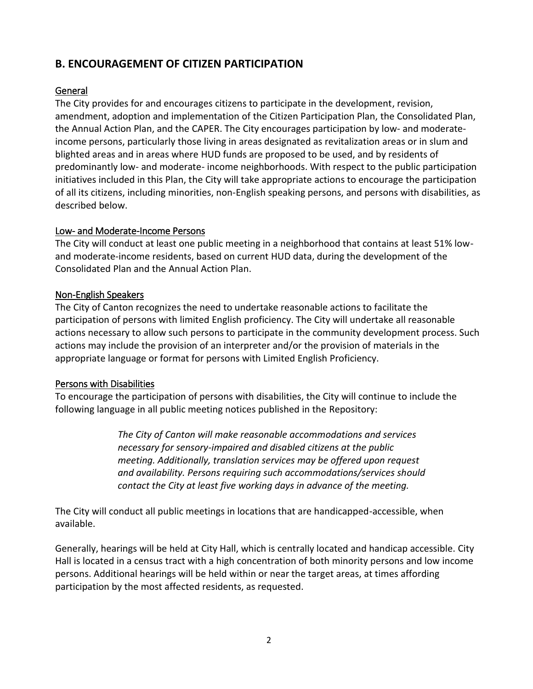# **B. ENCOURAGEMENT OF CITIZEN PARTICIPATION**

#### General

The City provides for and encourages citizens to participate in the development, revision, amendment, adoption and implementation of the Citizen Participation Plan, the Consolidated Plan, the Annual Action Plan, and the CAPER. The City encourages participation by low- and moderateincome persons, particularly those living in areas designated as revitalization areas or in slum and blighted areas and in areas where HUD funds are proposed to be used, and by residents of predominantly low- and moderate- income neighborhoods. With respect to the public participation initiatives included in this Plan, the City will take appropriate actions to encourage the participation of all its citizens, including minorities, non-English speaking persons, and persons with disabilities, as described below.

#### Low- and Moderate-Income Persons

The City will conduct at least one public meeting in a neighborhood that contains at least 51% lowand moderate-income residents, based on current HUD data, during the development of the Consolidated Plan and the Annual Action Plan.

#### Non-English Speakers

The City of Canton recognizes the need to undertake reasonable actions to facilitate the participation of persons with limited English proficiency. The City will undertake all reasonable actions necessary to allow such persons to participate in the community development process. Such actions may include the provision of an interpreter and/or the provision of materials in the appropriate language or format for persons with Limited English Proficiency.

#### Persons with Disabilities

To encourage the participation of persons with disabilities, the City will continue to include the following language in all public meeting notices published in the Repository:

> *The City of Canton will make reasonable accommodations and services necessary for sensory-impaired and disabled citizens at the public meeting. Additionally, translation services may be offered upon request and availability. Persons requiring such accommodations/services should contact the City at least five working days in advance of the meeting.*

The City will conduct all public meetings in locations that are handicapped-accessible, when available.

Generally, hearings will be held at City Hall, which is centrally located and handicap accessible. City Hall is located in a census tract with a high concentration of both minority persons and low income persons. Additional hearings will be held within or near the target areas, at times affording participation by the most affected residents, as requested.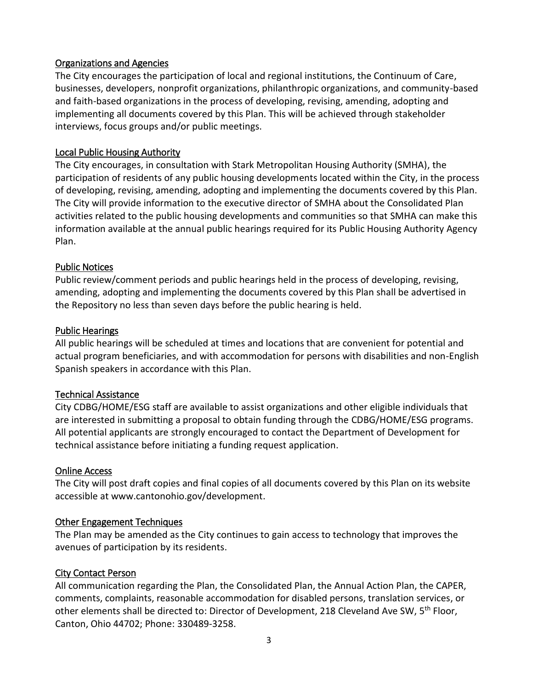#### Organizations and Agencies

The City encourages the participation of local and regional institutions, the Continuum of Care, businesses, developers, nonprofit organizations, philanthropic organizations, and community-based and faith-based organizations in the process of developing, revising, amending, adopting and implementing all documents covered by this Plan. This will be achieved through stakeholder interviews, focus groups and/or public meetings.

#### Local Public Housing Authority

The City encourages, in consultation with Stark Metropolitan Housing Authority (SMHA), the participation of residents of any public housing developments located within the City, in the process of developing, revising, amending, adopting and implementing the documents covered by this Plan. The City will provide information to the executive director of SMHA about the Consolidated Plan activities related to the public housing developments and communities so that SMHA can make this information available at the annual public hearings required for its Public Housing Authority Agency Plan.

#### Public Notices

Public review/comment periods and public hearings held in the process of developing, revising, amending, adopting and implementing the documents covered by this Plan shall be advertised in the Repository no less than seven days before the public hearing is held.

#### Public Hearings

All public hearings will be scheduled at times and locations that are convenient for potential and actual program beneficiaries, and with accommodation for persons with disabilities and non-English Spanish speakers in accordance with this Plan.

#### Technical Assistance

City CDBG/HOME/ESG staff are available to assist organizations and other eligible individuals that are interested in submitting a proposal to obtain funding through the CDBG/HOME/ESG programs. All potential applicants are strongly encouraged to contact the Department of Development for technical assistance before initiating a funding request application.

#### Online Access

The City will post draft copies and final copies of all documents covered by this Plan on its website accessible at www.cantonohio.gov/development.

#### Other Engagement Techniques

The Plan may be amended as the City continues to gain access to technology that improves the avenues of participation by its residents.

#### City Contact Person

All communication regarding the Plan, the Consolidated Plan, the Annual Action Plan, the CAPER, comments, complaints, reasonable accommodation for disabled persons, translation services, or other elements shall be directed to: Director of Development, 218 Cleveland Ave SW, 5<sup>th</sup> Floor, Canton, Ohio 44702; Phone: 330489-3258.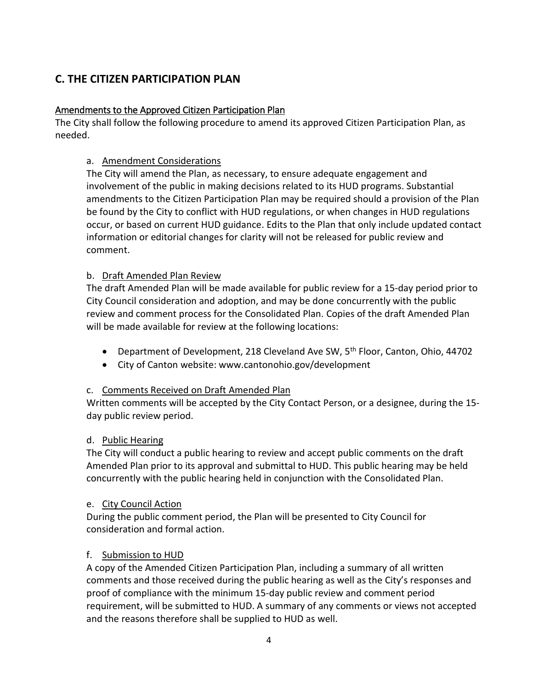# **C. THE CITIZEN PARTICIPATION PLAN**

### Amendments to the Approved Citizen Participation Plan

The City shall follow the following procedure to amend its approved Citizen Participation Plan, as needed.

### a. Amendment Considerations

The City will amend the Plan, as necessary, to ensure adequate engagement and involvement of the public in making decisions related to its HUD programs. Substantial amendments to the Citizen Participation Plan may be required should a provision of the Plan be found by the City to conflict with HUD regulations, or when changes in HUD regulations occur, or based on current HUD guidance. Edits to the Plan that only include updated contact information or editorial changes for clarity will not be released for public review and comment.

#### b. Draft Amended Plan Review

The draft Amended Plan will be made available for public review for a 15-day period prior to City Council consideration and adoption, and may be done concurrently with the public review and comment process for the Consolidated Plan. Copies of the draft Amended Plan will be made available for review at the following locations:

- **•** Department of Development, 218 Cleveland Ave SW,  $5<sup>th</sup>$  Floor, Canton, Ohio, 44702
- City of Canton website: www.cantonohio.gov/development

#### c. Comments Received on Draft Amended Plan

Written comments will be accepted by the City Contact Person, or a designee, during the 15 day public review period.

#### d. Public Hearing

The City will conduct a public hearing to review and accept public comments on the draft Amended Plan prior to its approval and submittal to HUD. This public hearing may be held concurrently with the public hearing held in conjunction with the Consolidated Plan.

#### e. City Council Action

During the public comment period, the Plan will be presented to City Council for consideration and formal action.

#### f. Submission to HUD

A copy of the Amended Citizen Participation Plan, including a summary of all written comments and those received during the public hearing as well as the City's responses and proof of compliance with the minimum 15-day public review and comment period requirement, will be submitted to HUD. A summary of any comments or views not accepted and the reasons therefore shall be supplied to HUD as well.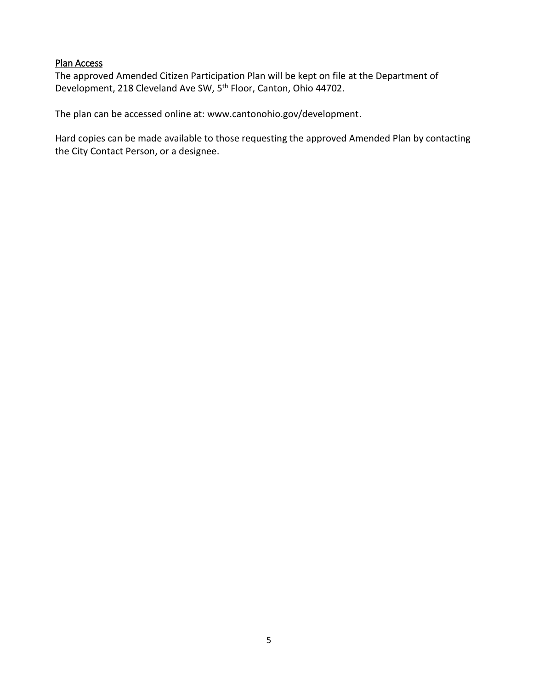#### Plan Access

The approved Amended Citizen Participation Plan will be kept on file at the Department of Development, 218 Cleveland Ave SW, 5<sup>th</sup> Floor, Canton, Ohio 44702.

The plan can be accessed online at: www.cantonohio.gov/development.

Hard copies can be made available to those requesting the approved Amended Plan by contacting the City Contact Person, or a designee.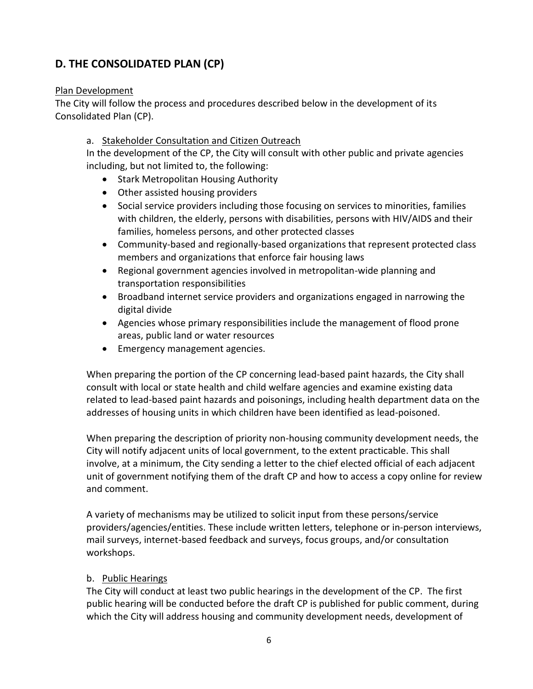# **D. THE CONSOLIDATED PLAN (CP)**

#### Plan Development

The City will follow the process and procedures described below in the development of its Consolidated Plan (CP).

#### a. Stakeholder Consultation and Citizen Outreach

In the development of the CP, the City will consult with other public and private agencies including, but not limited to, the following:

- Stark Metropolitan Housing Authority
- Other assisted housing providers
- Social service providers including those focusing on services to minorities, families with children, the elderly, persons with disabilities, persons with HIV/AIDS and their families, homeless persons, and other protected classes
- Community-based and regionally-based organizations that represent protected class members and organizations that enforce fair housing laws
- Regional government agencies involved in metropolitan-wide planning and transportation responsibilities
- Broadband internet service providers and organizations engaged in narrowing the digital divide
- Agencies whose primary responsibilities include the management of flood prone areas, public land or water resources
- Emergency management agencies.

When preparing the portion of the CP concerning lead-based paint hazards, the City shall consult with local or state health and child welfare agencies and examine existing data related to lead-based paint hazards and poisonings, including health department data on the addresses of housing units in which children have been identified as lead-poisoned.

When preparing the description of priority non-housing community development needs, the City will notify adjacent units of local government, to the extent practicable. This shall involve, at a minimum, the City sending a letter to the chief elected official of each adjacent unit of government notifying them of the draft CP and how to access a copy online for review and comment.

A variety of mechanisms may be utilized to solicit input from these persons/service providers/agencies/entities. These include written letters, telephone or in-person interviews, mail surveys, internet-based feedback and surveys, focus groups, and/or consultation workshops.

#### b. Public Hearings

The City will conduct at least two public hearings in the development of the CP. The first public hearing will be conducted before the draft CP is published for public comment, during which the City will address housing and community development needs, development of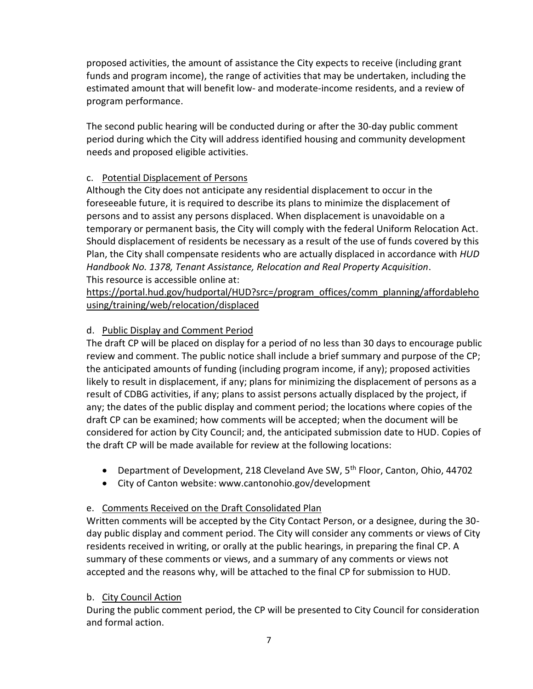proposed activities, the amount of assistance the City expects to receive (including grant funds and program income), the range of activities that may be undertaken, including the estimated amount that will benefit low- and moderate-income residents, and a review of program performance.

The second public hearing will be conducted during or after the 30-day public comment period during which the City will address identified housing and community development needs and proposed eligible activities.

## c. Potential Displacement of Persons

Although the City does not anticipate any residential displacement to occur in the foreseeable future, it is required to describe its plans to minimize the displacement of persons and to assist any persons displaced. When displacement is unavoidable on a temporary or permanent basis, the City will comply with the federal Uniform Relocation Act. Should displacement of residents be necessary as a result of the use of funds covered by this Plan, the City shall compensate residents who are actually displaced in accordance with *HUD Handbook No. 1378, Tenant Assistance, Relocation and Real Property Acquisition*. This resource is accessible online at:

[https://portal.hud.gov/hudportal/HUD?src=/program\\_offices/comm\\_planning/affordableho](https://portal.hud.gov/hudportal/HUD?src=/program_offices/comm_planning/affordablehousing/training/web/relocation/displaced) [using/training/web/relocation/displaced](https://portal.hud.gov/hudportal/HUD?src=/program_offices/comm_planning/affordablehousing/training/web/relocation/displaced)

## d. Public Display and Comment Period

The draft CP will be placed on display for a period of no less than 30 days to encourage public review and comment. The public notice shall include a brief summary and purpose of the CP; the anticipated amounts of funding (including program income, if any); proposed activities likely to result in displacement, if any; plans for minimizing the displacement of persons as a result of CDBG activities, if any; plans to assist persons actually displaced by the project, if any; the dates of the public display and comment period; the locations where copies of the draft CP can be examined; how comments will be accepted; when the document will be considered for action by City Council; and, the anticipated submission date to HUD. Copies of the draft CP will be made available for review at the following locations:

- **•** Department of Development, 218 Cleveland Ave SW,  $5<sup>th</sup>$  Floor, Canton, Ohio, 44702
- City of Canton website: www.cantonohio.gov/development

#### e. Comments Received on the Draft Consolidated Plan

Written comments will be accepted by the City Contact Person, or a designee, during the 30 day public display and comment period. The City will consider any comments or views of City residents received in writing, or orally at the public hearings, in preparing the final CP. A summary of these comments or views, and a summary of any comments or views not accepted and the reasons why, will be attached to the final CP for submission to HUD.

#### b. City Council Action

During the public comment period, the CP will be presented to City Council for consideration and formal action.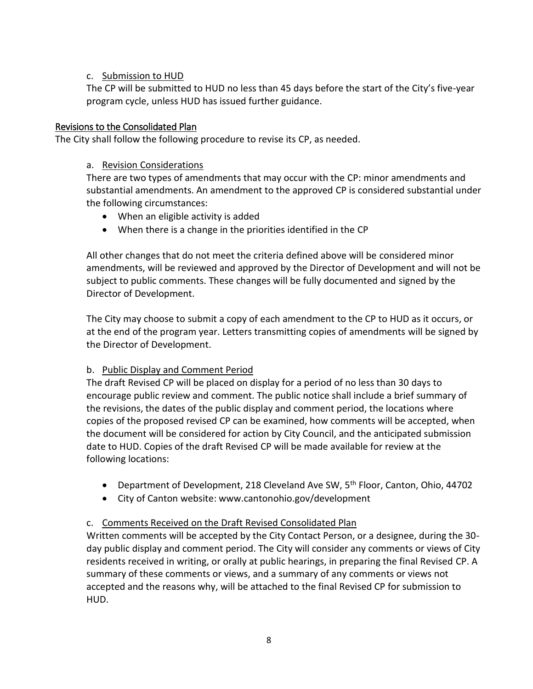#### c. Submission to HUD

The CP will be submitted to HUD no less than 45 days before the start of the City's five-year program cycle, unless HUD has issued further guidance.

#### Revisions to the Consolidated Plan

The City shall follow the following procedure to revise its CP, as needed.

#### a. Revision Considerations

There are two types of amendments that may occur with the CP: minor amendments and substantial amendments. An amendment to the approved CP is considered substantial under the following circumstances:

- When an eligible activity is added
- When there is a change in the priorities identified in the CP

All other changes that do not meet the criteria defined above will be considered minor amendments, will be reviewed and approved by the Director of Development and will not be subject to public comments. These changes will be fully documented and signed by the Director of Development.

The City may choose to submit a copy of each amendment to the CP to HUD as it occurs, or at the end of the program year. Letters transmitting copies of amendments will be signed by the Director of Development.

#### b. Public Display and Comment Period

The draft Revised CP will be placed on display for a period of no less than 30 days to encourage public review and comment. The public notice shall include a brief summary of the revisions, the dates of the public display and comment period, the locations where copies of the proposed revised CP can be examined, how comments will be accepted, when the document will be considered for action by City Council, and the anticipated submission date to HUD. Copies of the draft Revised CP will be made available for review at the following locations:

- Department of Development, 218 Cleveland Ave SW, 5<sup>th</sup> Floor, Canton, Ohio, 44702
- City of Canton website: www.cantonohio.gov/development

#### c. Comments Received on the Draft Revised Consolidated Plan

Written comments will be accepted by the City Contact Person, or a designee, during the 30 day public display and comment period. The City will consider any comments or views of City residents received in writing, or orally at public hearings, in preparing the final Revised CP. A summary of these comments or views, and a summary of any comments or views not accepted and the reasons why, will be attached to the final Revised CP for submission to HUD.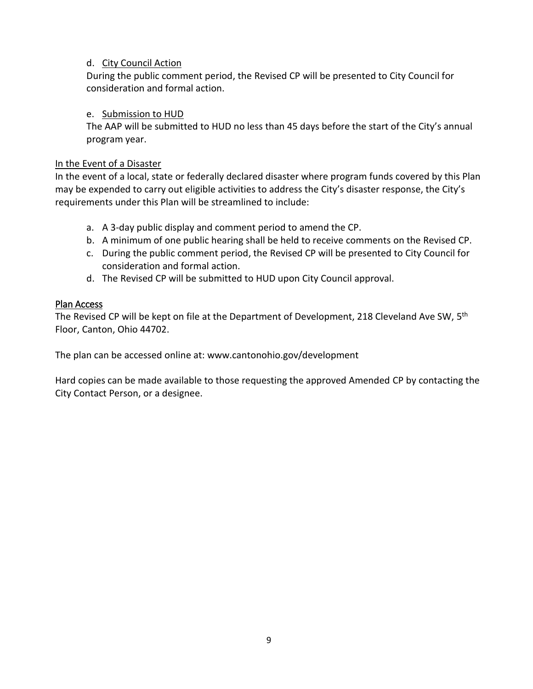#### d. City Council Action

During the public comment period, the Revised CP will be presented to City Council for consideration and formal action.

#### e. Submission to HUD

The AAP will be submitted to HUD no less than 45 days before the start of the City's annual program year.

#### In the Event of a Disaster

In the event of a local, state or federally declared disaster where program funds covered by this Plan may be expended to carry out eligible activities to address the City's disaster response, the City's requirements under this Plan will be streamlined to include:

- a. A 3-day public display and comment period to amend the CP.
- b. A minimum of one public hearing shall be held to receive comments on the Revised CP.
- c. During the public comment period, the Revised CP will be presented to City Council for consideration and formal action.
- d. The Revised CP will be submitted to HUD upon City Council approval.

#### Plan Access

The Revised CP will be kept on file at the Department of Development, 218 Cleveland Ave SW, 5<sup>th</sup> Floor, Canton, Ohio 44702.

The plan can be accessed online at: www.cantonohio.gov/development

Hard copies can be made available to those requesting the approved Amended CP by contacting the City Contact Person, or a designee.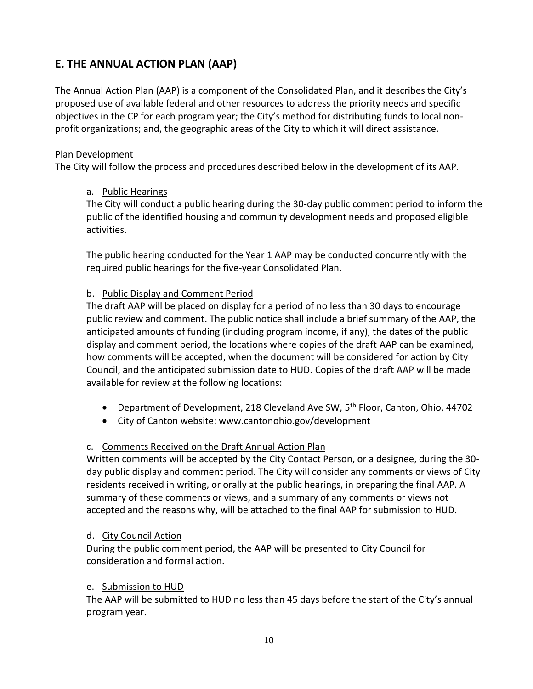# **E. THE ANNUAL ACTION PLAN (AAP)**

The Annual Action Plan (AAP) is a component of the Consolidated Plan, and it describes the City's proposed use of available federal and other resources to address the priority needs and specific objectives in the CP for each program year; the City's method for distributing funds to local nonprofit organizations; and, the geographic areas of the City to which it will direct assistance.

### Plan Development

The City will follow the process and procedures described below in the development of its AAP.

## a. Public Hearings

The City will conduct a public hearing during the 30-day public comment period to inform the public of the identified housing and community development needs and proposed eligible activities.

The public hearing conducted for the Year 1 AAP may be conducted concurrently with the required public hearings for the five-year Consolidated Plan.

# b. Public Display and Comment Period

The draft AAP will be placed on display for a period of no less than 30 days to encourage public review and comment. The public notice shall include a brief summary of the AAP, the anticipated amounts of funding (including program income, if any), the dates of the public display and comment period, the locations where copies of the draft AAP can be examined, how comments will be accepted, when the document will be considered for action by City Council, and the anticipated submission date to HUD. Copies of the draft AAP will be made available for review at the following locations:

- Department of Development, 218 Cleveland Ave SW, 5<sup>th</sup> Floor, Canton, Ohio, 44702
- City of Canton website: www.cantonohio.gov/development

# c. Comments Received on the Draft Annual Action Plan

Written comments will be accepted by the City Contact Person, or a designee, during the 30 day public display and comment period. The City will consider any comments or views of City residents received in writing, or orally at the public hearings, in preparing the final AAP. A summary of these comments or views, and a summary of any comments or views not accepted and the reasons why, will be attached to the final AAP for submission to HUD.

#### d. City Council Action

During the public comment period, the AAP will be presented to City Council for consideration and formal action.

#### e. Submission to HUD

The AAP will be submitted to HUD no less than 45 days before the start of the City's annual program year.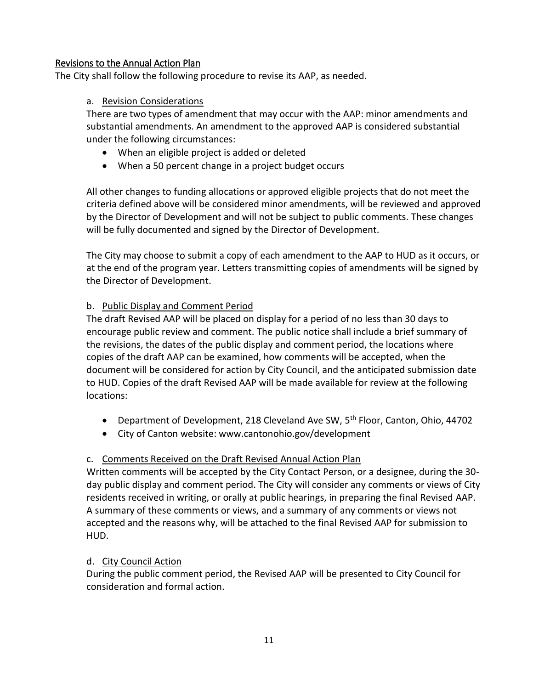#### Revisions to the Annual Action Plan

The City shall follow the following procedure to revise its AAP, as needed.

#### a. Revision Considerations

There are two types of amendment that may occur with the AAP: minor amendments and substantial amendments. An amendment to the approved AAP is considered substantial under the following circumstances:

- When an eligible project is added or deleted
- When a 50 percent change in a project budget occurs

All other changes to funding allocations or approved eligible projects that do not meet the criteria defined above will be considered minor amendments, will be reviewed and approved by the Director of Development and will not be subject to public comments. These changes will be fully documented and signed by the Director of Development.

The City may choose to submit a copy of each amendment to the AAP to HUD as it occurs, or at the end of the program year. Letters transmitting copies of amendments will be signed by the Director of Development.

#### b. Public Display and Comment Period

The draft Revised AAP will be placed on display for a period of no less than 30 days to encourage public review and comment. The public notice shall include a brief summary of the revisions, the dates of the public display and comment period, the locations where copies of the draft AAP can be examined, how comments will be accepted, when the document will be considered for action by City Council, and the anticipated submission date to HUD. Copies of the draft Revised AAP will be made available for review at the following locations:

- **•** Department of Development, 218 Cleveland Ave SW,  $5<sup>th</sup>$  Floor, Canton, Ohio, 44702
- City of Canton website: www.cantonohio.gov/development

#### c. Comments Received on the Draft Revised Annual Action Plan

Written comments will be accepted by the City Contact Person, or a designee, during the 30 day public display and comment period. The City will consider any comments or views of City residents received in writing, or orally at public hearings, in preparing the final Revised AAP. A summary of these comments or views, and a summary of any comments or views not accepted and the reasons why, will be attached to the final Revised AAP for submission to HUD.

#### d. City Council Action

During the public comment period, the Revised AAP will be presented to City Council for consideration and formal action.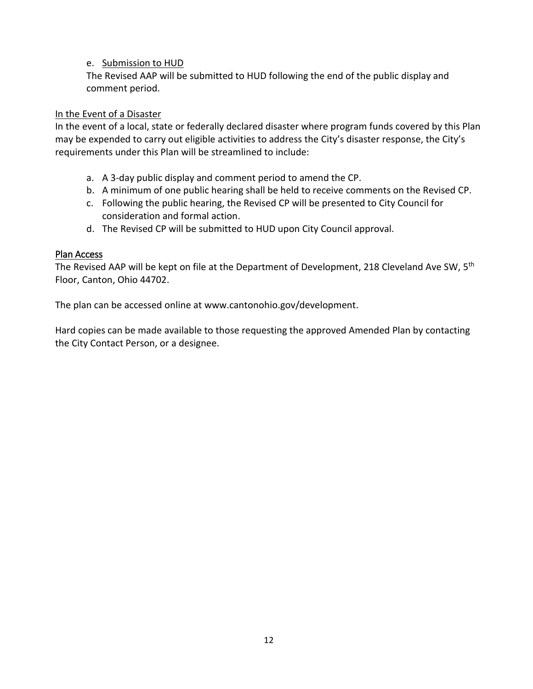#### e. Submission to HUD

The Revised AAP will be submitted to HUD following the end of the public display and comment period.

#### In the Event of a Disaster

In the event of a local, state or federally declared disaster where program funds covered by this Plan may be expended to carry out eligible activities to address the City's disaster response, the City's requirements under this Plan will be streamlined to include:

- a. A 3-day public display and comment period to amend the CP.
- b. A minimum of one public hearing shall be held to receive comments on the Revised CP.
- c. Following the public hearing, the Revised CP will be presented to City Council for consideration and formal action.
- d. The Revised CP will be submitted to HUD upon City Council approval.

#### Plan Access

The Revised AAP will be kept on file at the Department of Development, 218 Cleveland Ave SW, 5<sup>th</sup> Floor, Canton, Ohio 44702.

The plan can be accessed online at www.cantonohio.gov/development.

Hard copies can be made available to those requesting the approved Amended Plan by contacting the City Contact Person, or a designee.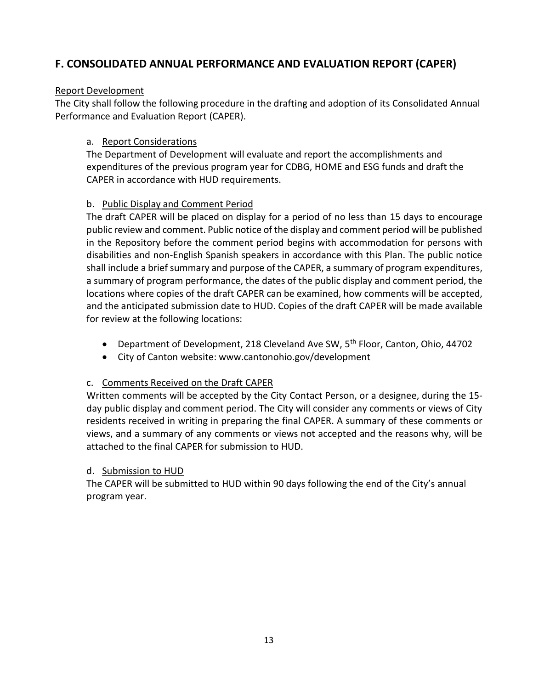# **F. CONSOLIDATED ANNUAL PERFORMANCE AND EVALUATION REPORT (CAPER)**

### Report Development

The City shall follow the following procedure in the drafting and adoption of its Consolidated Annual Performance and Evaluation Report (CAPER).

### a. Report Considerations

The Department of Development will evaluate and report the accomplishments and expenditures of the previous program year for CDBG, HOME and ESG funds and draft the CAPER in accordance with HUD requirements.

## b. Public Display and Comment Period

The draft CAPER will be placed on display for a period of no less than 15 days to encourage public review and comment. Public notice of the display and comment period will be published in the Repository before the comment period begins with accommodation for persons with disabilities and non-English Spanish speakers in accordance with this Plan. The public notice shall include a brief summary and purpose of the CAPER, a summary of program expenditures, a summary of program performance, the dates of the public display and comment period, the locations where copies of the draft CAPER can be examined, how comments will be accepted, and the anticipated submission date to HUD. Copies of the draft CAPER will be made available for review at the following locations:

- Department of Development, 218 Cleveland Ave SW, 5<sup>th</sup> Floor, Canton, Ohio, 44702
- City of Canton website: www.cantonohio.gov/development

#### c. Comments Received on the Draft CAPER

Written comments will be accepted by the City Contact Person, or a designee, during the 15 day public display and comment period. The City will consider any comments or views of City residents received in writing in preparing the final CAPER. A summary of these comments or views, and a summary of any comments or views not accepted and the reasons why, will be attached to the final CAPER for submission to HUD.

#### d. Submission to HUD

The CAPER will be submitted to HUD within 90 days following the end of the City's annual program year.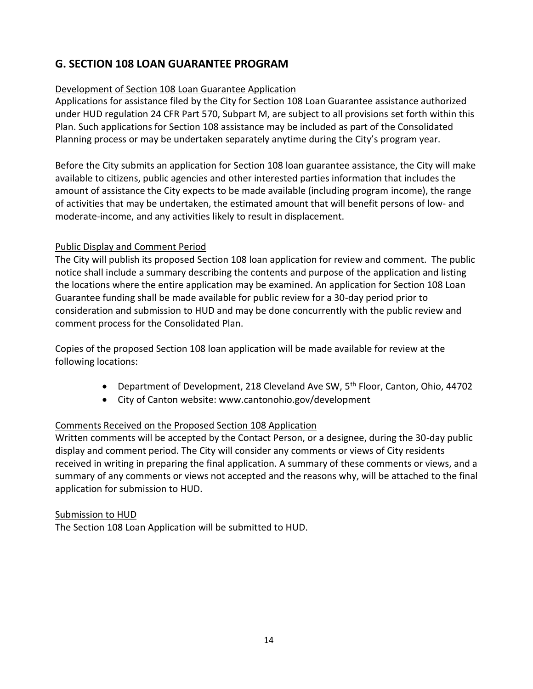# **G. SECTION 108 LOAN GUARANTEE PROGRAM**

### Development of Section 108 Loan Guarantee Application

Applications for assistance filed by the City for Section 108 Loan Guarantee assistance authorized under HUD regulation 24 CFR Part 570, Subpart M, are subject to all provisions set forth within this Plan. Such applications for Section 108 assistance may be included as part of the Consolidated Planning process or may be undertaken separately anytime during the City's program year.

Before the City submits an application for Section 108 loan guarantee assistance, the City will make available to citizens, public agencies and other interested parties information that includes the amount of assistance the City expects to be made available (including program income), the range of activities that may be undertaken, the estimated amount that will benefit persons of low- and moderate-income, and any activities likely to result in displacement.

## Public Display and Comment Period

The City will publish its proposed Section 108 loan application for review and comment. The public notice shall include a summary describing the contents and purpose of the application and listing the locations where the entire application may be examined. An application for Section 108 Loan Guarantee funding shall be made available for public review for a 30-day period prior to consideration and submission to HUD and may be done concurrently with the public review and comment process for the Consolidated Plan.

Copies of the proposed Section 108 loan application will be made available for review at the following locations:

- Department of Development, 218 Cleveland Ave SW, 5<sup>th</sup> Floor, Canton, Ohio, 44702
- City of Canton website: www.cantonohio.gov/development

# Comments Received on the Proposed Section 108 Application

Written comments will be accepted by the Contact Person, or a designee, during the 30-day public display and comment period. The City will consider any comments or views of City residents received in writing in preparing the final application. A summary of these comments or views, and a summary of any comments or views not accepted and the reasons why, will be attached to the final application for submission to HUD.

#### Submission to HUD

The Section 108 Loan Application will be submitted to HUD.